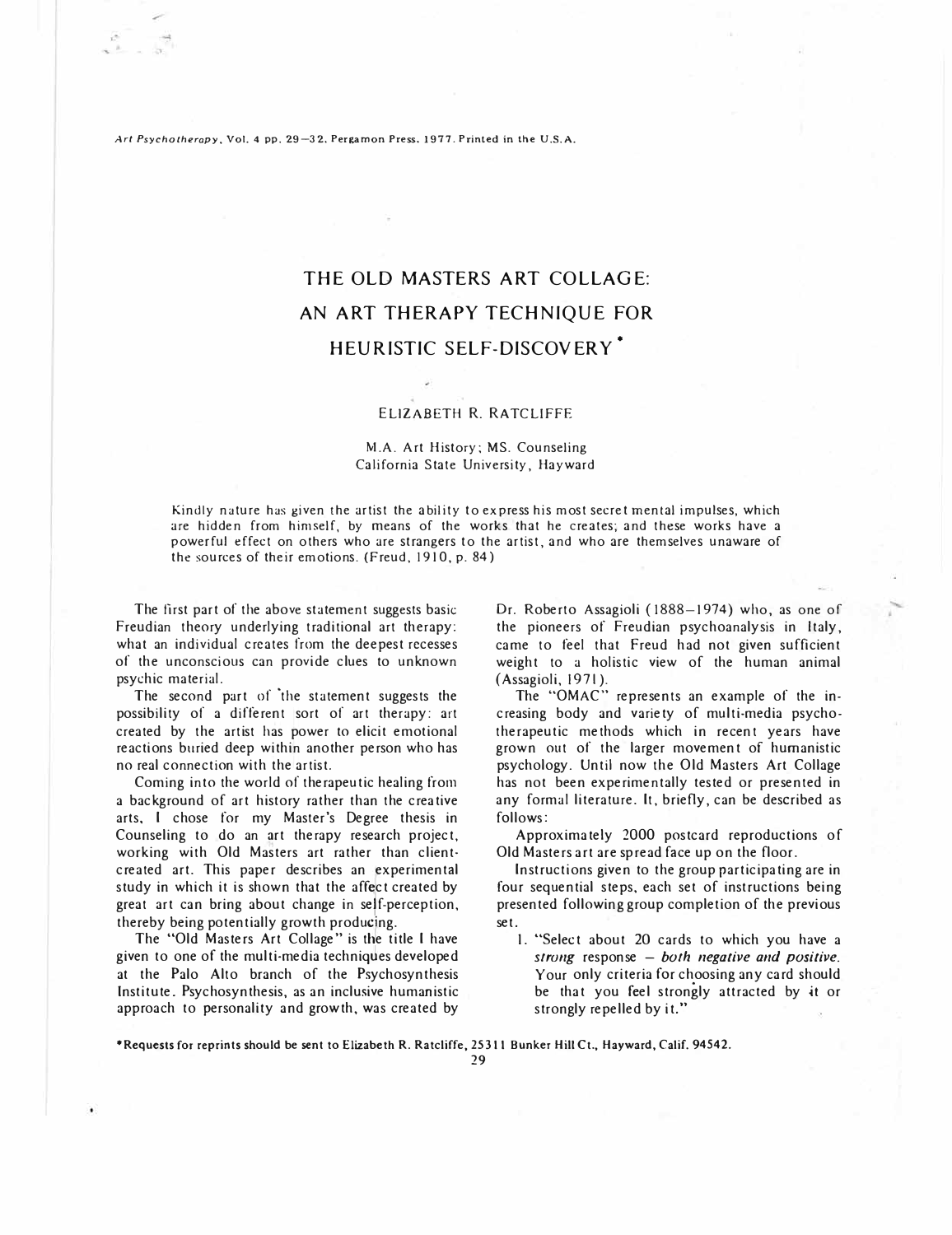Art Psychotherapy, Vol. 4 pp. 29-32, Pergamon Press, 1977. Printed in the U.S.A.

# THE OLD MASTERS ART COLLAGE: AN ART THERAPY TECHNIQUE FOR HEURISTIC SELF-DISCOVERY<sup>\*</sup>

### ELIZABETH R. RATCLIFFE

# M.A. Art History; MS. Counseling California State University, Hayward

Kindly nature has given the artist the ability to express his most secret mental impulses, which are hidden from himself, by means of the works that he creates; and these works have a powerful effect on others who are strangers to the artist, and who are themselves unaware of the sources of their emotions. (Freud, 1910, p. 84)

The first part of the above statement suggests basic Freudian theory underlying traditional art therapy: what an individual creates from the deepest recesses of the unconscious can provide clues to unknown psychic material.

The second part of the statement suggests the possibility of a different sort of art therapy: art created by the artist has power to elicit emotional reactions buried deep within another person who has no real connection with the artist.

Coming into the world of therapeutic healing from a background of art history rather than the creative arts, I chose for my Master's Degree thesis in Counseling to do an �rt therapy research project, working with Old Masters art rather than clientcreated art. This paper describes an experimental<br>study in which it is shown that the affect created by<br>great art can bring about change in self-perception, created art. This paper describes an experimental study in which it is shown that the affect created by thereby being potentially growth producing.

The "Old Masters Art Collage" is the title I have given to one of the multi-media techniq�es developed at the Palo Alto branch of the Psychosynthesis Institute. Psychosynthesis, as an inclusive humanistic approach to personality and growth, was created by

Dr. Roberto Assagioli ( 1888-1974) who, as one of the pioneers of Freudian psychoanalysis in Italy, came to feel that Freud had not given sufficient weight to a holistic view of the human animal (Assagioli, 1971).

The "OMAC" represents an example of the increasing body and variety of multi-media psychotherapeutic methods which in recent years have grown out of the larger movement of humanistic psychology. Until now the Old Masters Art Collage has not been experimentally tested or presented in any formal literature. It, briefly, can be described as follows:

Approximately 2000 postcard reproductions of Old Masters art are spread face up on the floor.

Instructions given to the group participating are in four sequential steps, each set of instructions being presented following group completion of the previous set.

I. "Select about 20 cards to which you have a *strung* response - *both negative and positive.*  Your only criteria for choosing any card should be that you feel strongly attracted by *it* or strongly repelled by it."

**•Requests** for **reprints should be sent to Elizabeth R. Ratcliffe, 25311 Bunker Hill** Ct., **Hayward, Calif.** 94542.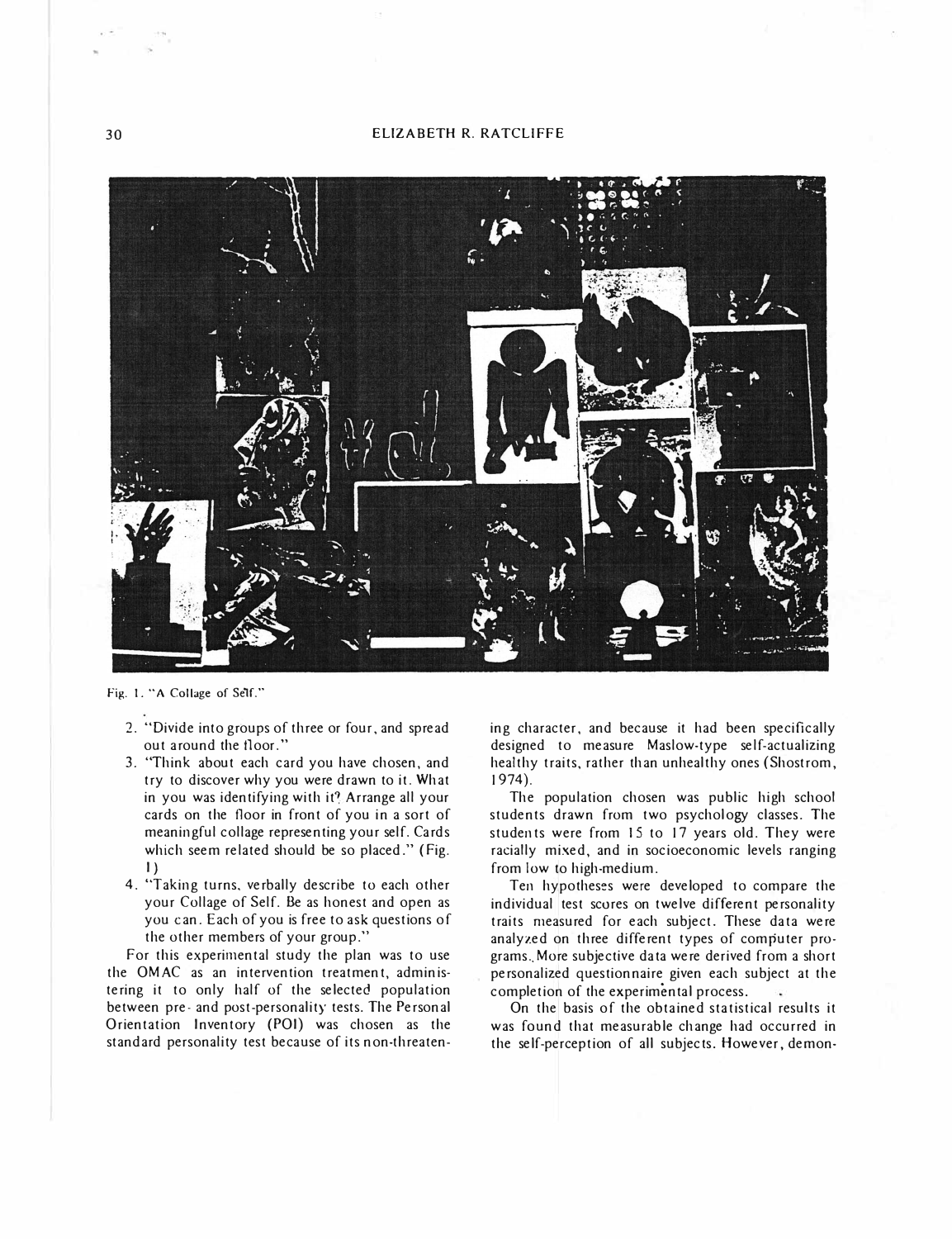## 30 ELIZABETH R. RATCLIFFE



Fig. I. "A Collage of Self."

- 2. "Divide into groups of three or four, and spread out around the floor."
- 3. "Think about each card you have chosen, and try to discover why you were drawn to it. What in you was identifying with it? Arrange all your cards on the floor in front of you in a sort of meaningful collage representing your self. Cards which seem related should be so placed." (Fig. I)
- 4. "Taking turns, verbally describe to each other your Collage of Self. Be as honest and open as you can. Each of you is free to ask questions of the other members of your group."

For this experimental study the plan was to use the OMAC as an intervention treatment, administering it to only half of the selected population between pre- and post-personality tests. The Personal Orientation Inventory (POI) was chosen as the standard personality test because of its non-threaten-

ing character, and because it had been specifically designed to measure Maslow-type self-actualizing healthy traits, rather than unhealthy ones (Shostrom, 1974).

The population chosen was public high school students drawn from two psychology classes. The students were from 15 to 17 years old. They were racially mixed, and in socioeconomic levels ranging from low to high-medium.

Ten hypotheses were developed to compare the individual test scores on twelve different personality traits measured for each subject. These data were analyzed on three different types of computer programs. More subjective data were derived from a short personalized questionnaire given each subject at the completion of the experimental process.

On the basis of the obtained statistical results it was found that measurable change had occurred in the self-perception of all subjects. However, demon-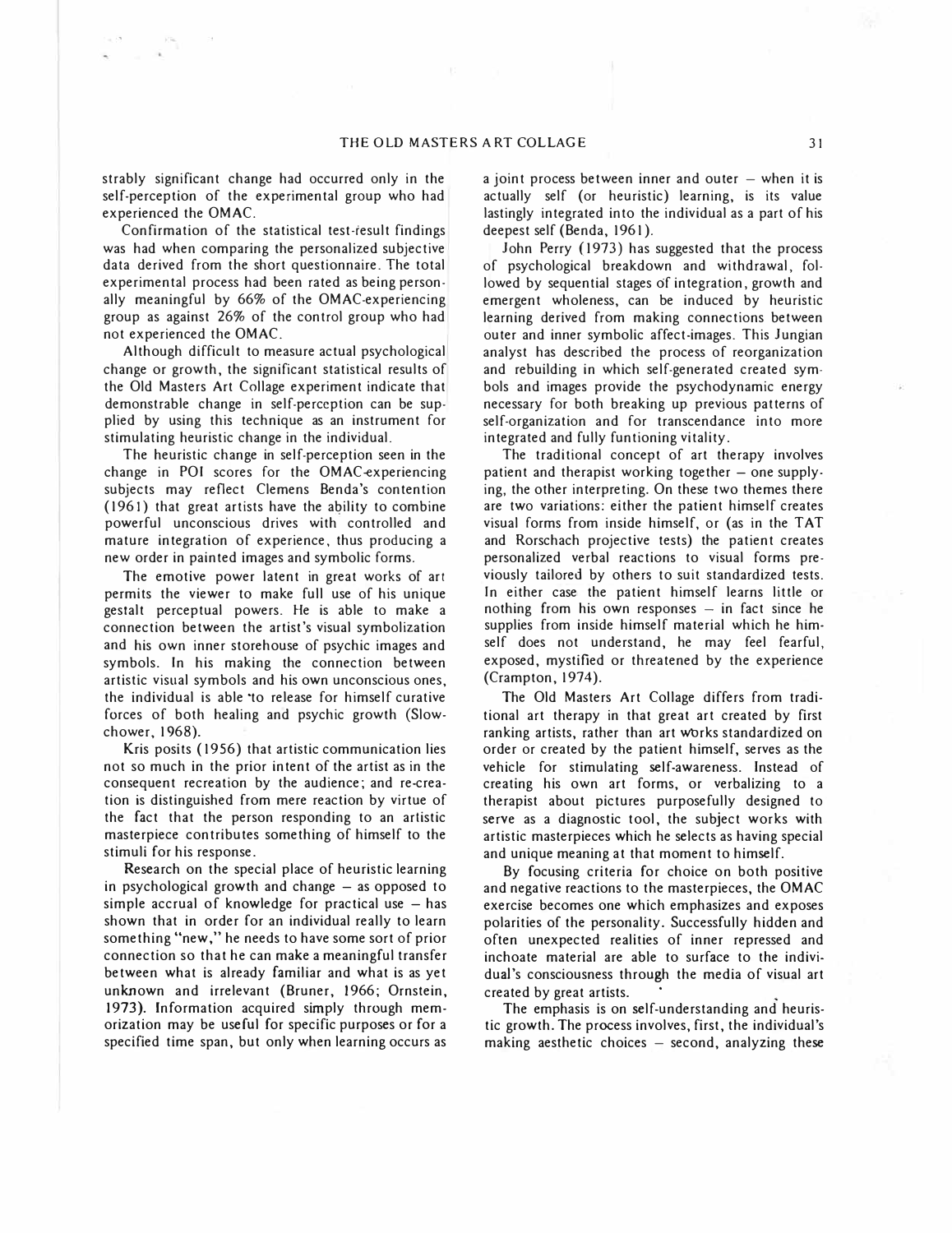strably significant change had occurred only in the self-perception of the experimental group who had experienced the OMAC.

Confirmation of the statistical test-result findings was had when comparing the personalized subjective data derived from the short questionnaire. The total experimental process had been rated as being personally meaningful by 66% of the OMAC-experiencing group as against 26% of the control group who had not experienced the OMAC.

Although difficult to measure actual psychological change or growth, the significant statistical results of the Old Masters Art Collage experiment indicate that demonstrable change in self-perception can be supplied by using this technique as an instrument for stimulating heuristic change in the individual.

The heuristic change in self-perception seen in the change in POI scores for the OMAC-experiencing subjects may reflect Clemens Benda's contention (1961) that great artists have the ability to combine powerful unconscious drives with controlled and mature integration of experience, thus producing a new order in painted images and symbolic forms.

The emotive power latent in great works of art permits the viewer to make full use of his unique gestalt perceptual powers. He is able to make a connection between the artist's visual symbolization and his own inner storehouse of psychic images and symbols. In his making the connection between artistic visual symbols and his own unconscious ones, the individual is able ·to release for himself curative forces of both healing and psychic growth {Slowchower, 1968).

Kris posits ( 1956) that artistic communication lies not so much in the prior intent of the artist as in the consequent recreation by the audience; and re-creation is distinguished from mere reaction by virtue of the fact that the person responding to an artistic masterpiece contributes something of himself to the stimuli for his response.

Research on the special place of heuristic learning in psychological growth and change  $-$  as opposed to simple accrual of knowledge for practical use  $-$  has shown that in order for an individual really to learn something "new," he needs to have some sort of prior connection so that he can make a meaningful transfer between what is already familiar and what is as yet unknown and irrelevant (Bruner, 1966; Ornstein, 1973). Information acquired simply through memorization may be useful for specific purposes or for a specified time span, but only when learning occurs as

a joint process between inner and outer  $-$  when it is actually self (or heuristic) learning, is its value lastingly integrated into the individual as a part of his deepest self (Benda, 1961 ).

John Perry (1973) has suggested that the process of psychological breakdown and withdrawal, followed by sequential stages of integration, growth and emergent wholeness, can be induced by heuristic learning derived from making connections between outer and inner symbolic affect-images. This Jungian analyst has described the process of reorganization and rebuilding in which self-generated created symbols and images provide the psychodynamic energy necessary for both breaking up previous patterns of self-organization and for transcendance into more integrated and fully funtioning vitality.

The traditional concept of art therapy involves patient and therapist working together  $-$  one supplying, the other interpreting. On these two themes there are two variations: either the patient himself creates visual forms from inside himself, or (as in the TAT and Rorschach projective tests) the patient creates personalized verbal reactions to visual forms previously tailored by others to suit standardized tests. In either case the patient himself learns little or nothing from his own responses  $-$  in fact since he supplies from inside himself material which he himself does not understand, he may feel fearful, exposed, mystified or threatened by the experience (Crampton, 1974).

The Old Masters Art Collage differs from traditional art therapy in that great art created by first ranking artists, rather than art works standardized on order or created by the patient himself, serves as the vehicle for stimulating self-awareness. Instead of creating his own art forms, or verbalizing to a therapist about pictures purposefully designed to serve as a diagnostic tool, the subject works with artistic masterpieces which he selects as having special and unique meaning at that moment to himself.

By focusing criteria for choice on both positive and negative reactions to the masterpieces, the OMAC exercise becomes one which emphasizes and exposes polarities of the personality. Successfully hidden and often unexpected realities of inner repressed and inchoate material are able to surface to the individual's consciousness through the media of visual art created by great artists.

The emphasis is on self-understanding and heuristic growth. The process involves, first, the individual's making aesthetic choices  $-$  second, analyzing these